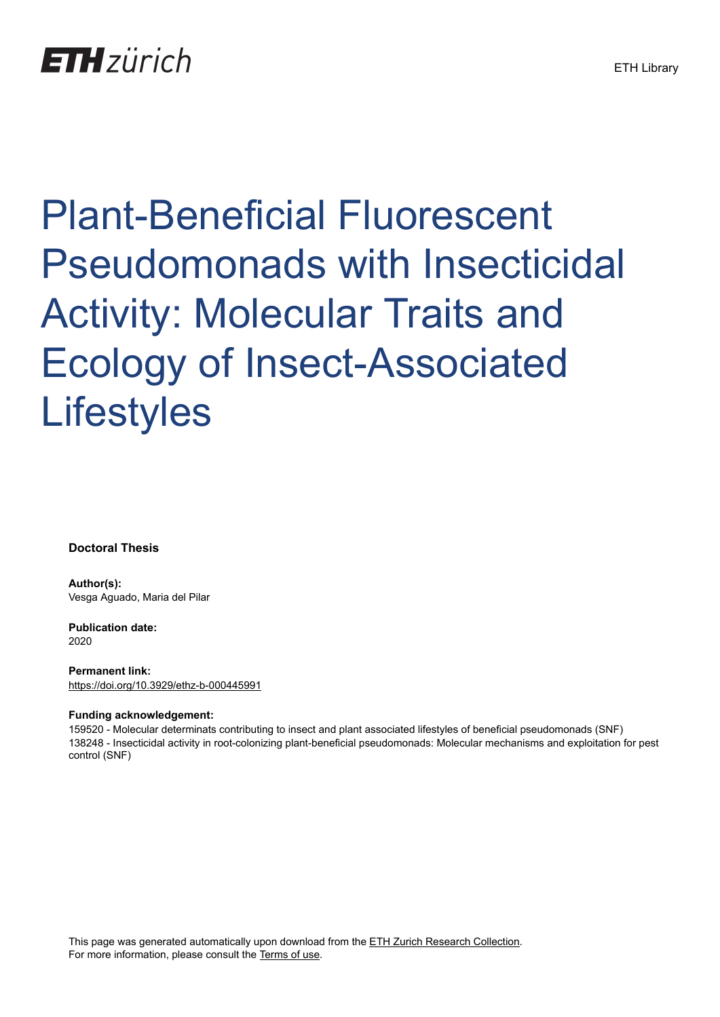# Plant-Beneficial Fluorescent Pseudomonads with Insecticidal Activity: Molecular Traits and Ecology of Insect-Associated **Lifestyles**

**Doctoral Thesis**

**Author(s):** Vesga Aguado, Maria del Pilar

**Publication date:** 2020

**Permanent link:** <https://doi.org/10.3929/ethz-b-000445991>

#### **Funding acknowledgement:**

159520 - Molecular determinats contributing to insect and plant associated lifestyles of beneficial pseudomonads (SNF) 138248 - Insecticidal activity in root-colonizing plant-beneficial pseudomonads: Molecular mechanisms and exploitation for pest control (SNF)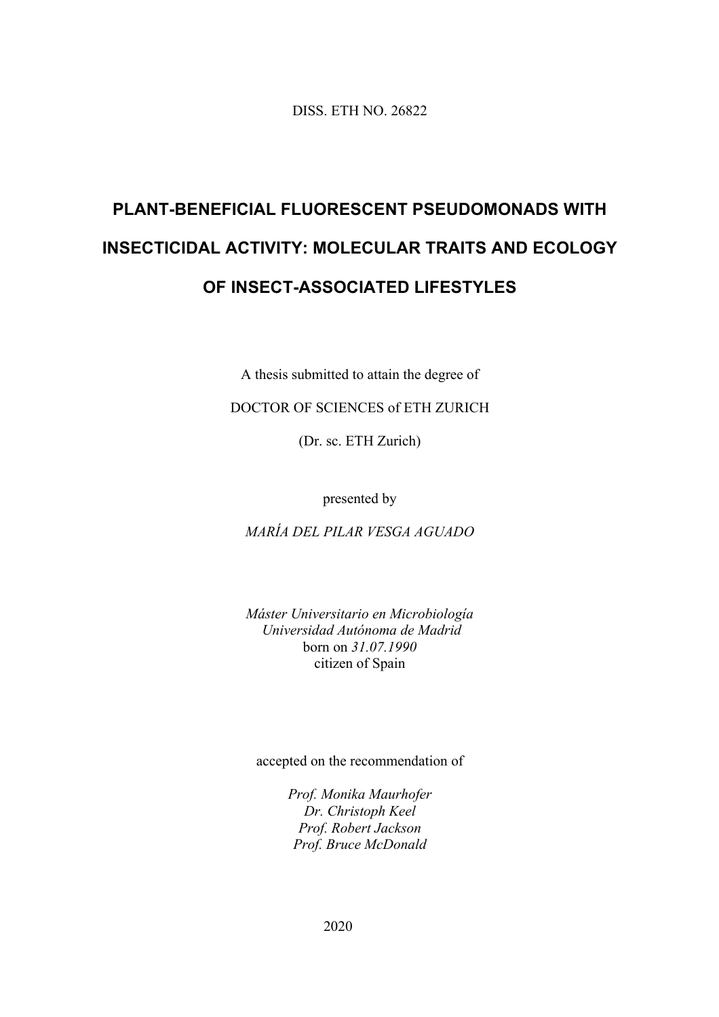DISS. ETH NO. 26822

# **PLANT-BENEFICIAL FLUORESCENT PSEUDOMONADS WITH INSECTICIDAL ACTIVITY: MOLECULAR TRAITS AND ECOLOGY OF INSECT-ASSOCIATED LIFESTYLES**

A thesis submitted to attain the degree of

DOCTOR OF SCIENCES of ETH ZURICH

(Dr. sc. ETH Zurich)

presented by

*MARÍA DEL PILAR VESGA AGUADO* 

*Máster Universitario en Microbiología Universidad Autónoma de Madrid*  born on *31.07.1990*  citizen of Spain

accepted on the recommendation of

*Prof. Monika Maurhofer Dr. Christoph Keel Prof. Robert Jackson Prof. Bruce McDonald* 

2020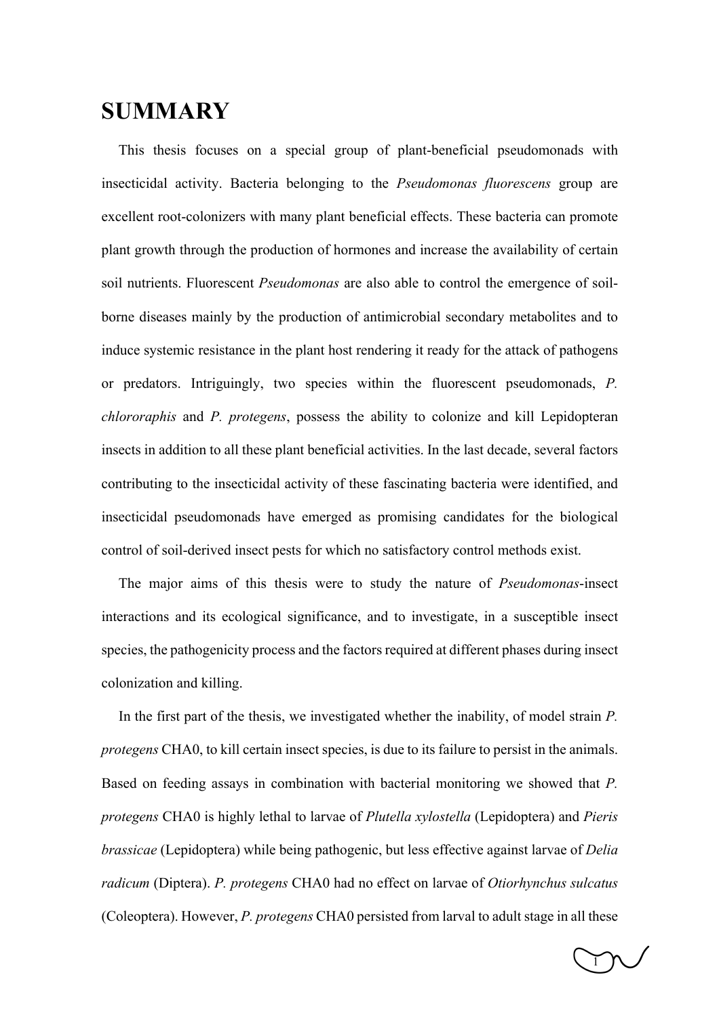## **SUMMARY**

This thesis focuses on a special group of plant-beneficial pseudomonads with insecticidal activity. Bacteria belonging to the *Pseudomonas fluorescens* group are excellent root-colonizers with many plant beneficial effects. These bacteria can promote plant growth through the production of hormones and increase the availability of certain soil nutrients. Fluorescent *Pseudomonas* are also able to control the emergence of soilborne diseases mainly by the production of antimicrobial secondary metabolites and to induce systemic resistance in the plant host rendering it ready for the attack of pathogens or predators. Intriguingly, two species within the fluorescent pseudomonads, *P. chlororaphis* and *P. protegens*, possess the ability to colonize and kill Lepidopteran insects in addition to all these plant beneficial activities. In the last decade, several factors contributing to the insecticidal activity of these fascinating bacteria were identified, and insecticidal pseudomonads have emerged as promising candidates for the biological control of soil-derived insect pests for which no satisfactory control methods exist.

The major aims of this thesis were to study the nature of *Pseudomonas*-insect interactions and its ecological significance, and to investigate, in a susceptible insect species, the pathogenicity process and the factors required at different phases during insect colonization and killing.

In the first part of the thesis, we investigated whether the inability, of model strain *P. protegens* CHA0, to kill certain insect species, is due to its failure to persist in the animals. Based on feeding assays in combination with bacterial monitoring we showed that *P. protegens* CHA0 is highly lethal to larvae of *Plutella xylostella* (Lepidoptera) and *Pieris brassicae* (Lepidoptera) while being pathogenic, but less effective against larvae of *Delia radicum* (Diptera). *P. protegens* CHA0 had no effect on larvae of *Otiorhynchus sulcatus* (Coleoptera). However, *P. protegens* CHA0 persisted from larval to adult stage in all these

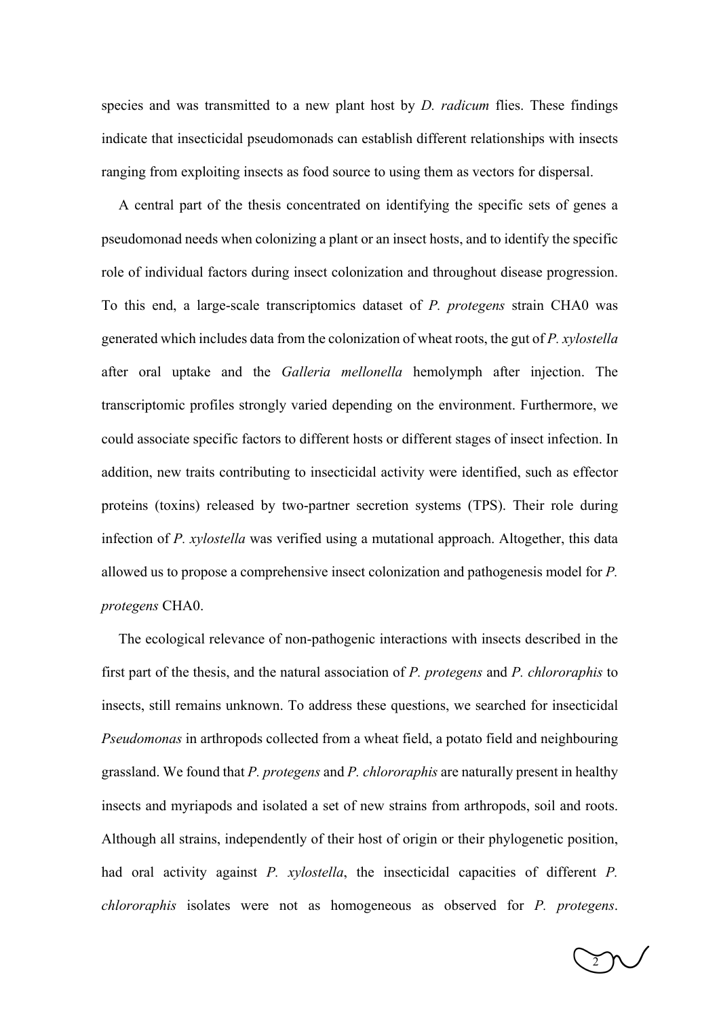species and was transmitted to a new plant host by *D. radicum* flies. These findings indicate that insecticidal pseudomonads can establish different relationships with insects ranging from exploiting insects as food source to using them as vectors for dispersal.

A central part of the thesis concentrated on identifying the specific sets of genes a pseudomonad needs when colonizing a plant or an insect hosts, and to identify the specific role of individual factors during insect colonization and throughout disease progression. To this end, a large-scale transcriptomics dataset of *P. protegens* strain CHA0 was generated which includes data from the colonization of wheat roots, the gut of *P. xylostella* after oral uptake and the *Galleria mellonella* hemolymph after injection. The transcriptomic profiles strongly varied depending on the environment. Furthermore, we could associate specific factors to different hosts or different stages of insect infection. In addition, new traits contributing to insecticidal activity were identified, such as effector proteins (toxins) released by two-partner secretion systems (TPS). Their role during infection of *P. xylostella* was verified using a mutational approach. Altogether, this data allowed us to propose a comprehensive insect colonization and pathogenesis model for *P. protegens* CHA0.

The ecological relevance of non-pathogenic interactions with insects described in the first part of the thesis, and the natural association of *P. protegens* and *P. chlororaphis* to insects, still remains unknown. To address these questions, we searched for insecticidal *Pseudomonas* in arthropods collected from a wheat field, a potato field and neighbouring grassland. We found that *P. protegens* and *P. chlororaphis* are naturally present in healthy insects and myriapods and isolated a set of new strains from arthropods, soil and roots. Although all strains, independently of their host of origin or their phylogenetic position, had oral activity against *P. xylostella*, the insecticidal capacities of different *P. chlororaphis* isolates were not as homogeneous as observed for *P. protegens*.

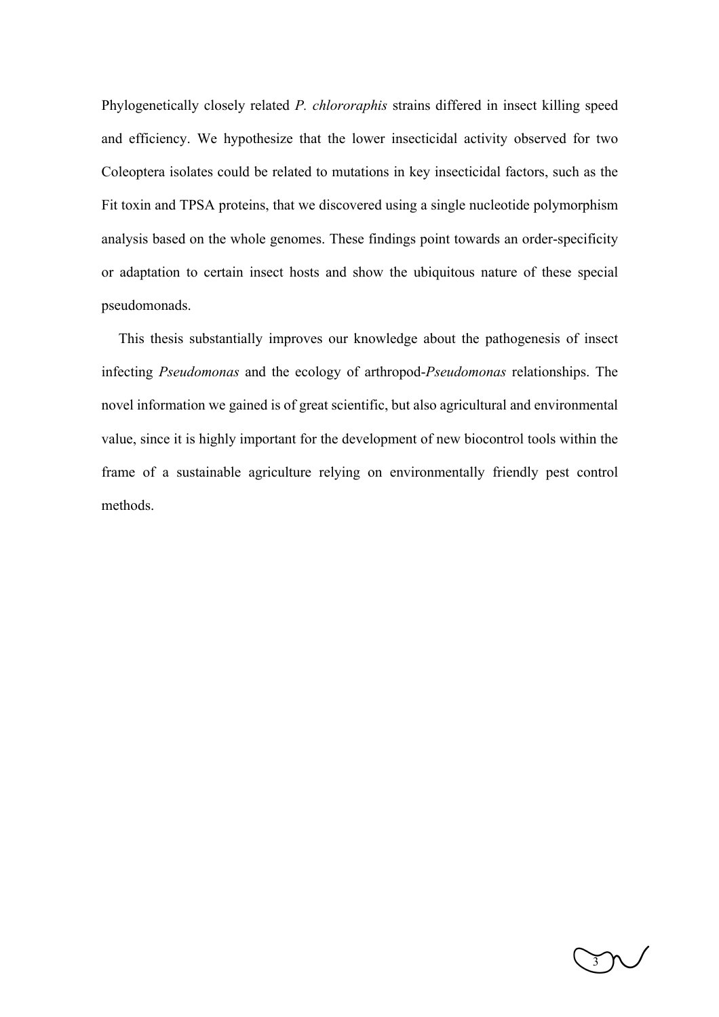Phylogenetically closely related *P. chlororaphis* strains differed in insect killing speed and efficiency. We hypothesize that the lower insecticidal activity observed for two Coleoptera isolates could be related to mutations in key insecticidal factors, such as the Fit toxin and TPSA proteins, that we discovered using a single nucleotide polymorphism analysis based on the whole genomes. These findings point towards an order-specificity or adaptation to certain insect hosts and show the ubiquitous nature of these special pseudomonads.

This thesis substantially improves our knowledge about the pathogenesis of insect infecting *Pseudomonas* and the ecology of arthropod-*Pseudomonas* relationships. The novel information we gained is of great scientific, but also agricultural and environmental value, since it is highly important for the development of new biocontrol tools within the frame of a sustainable agriculture relying on environmentally friendly pest control methods.

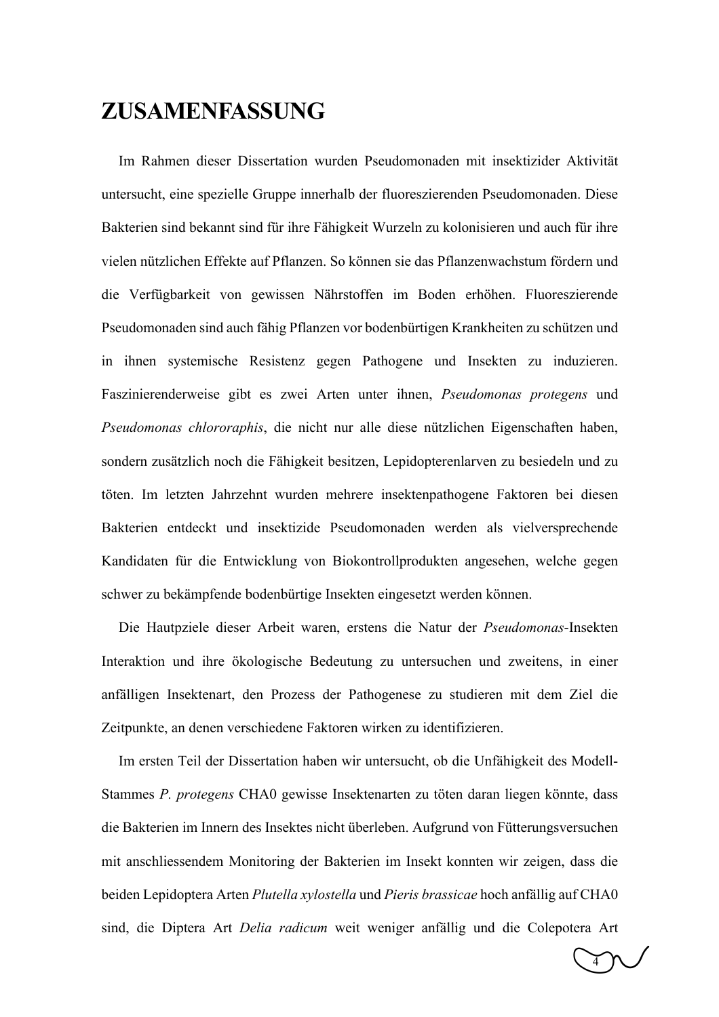### **ZUSAMENFASSUNG**

Im Rahmen dieser Dissertation wurden Pseudomonaden mit insektizider Aktivität untersucht, eine spezielle Gruppe innerhalb der fluoreszierenden Pseudomonaden. Diese Bakterien sind bekannt sind für ihre Fähigkeit Wurzeln zu kolonisieren und auch für ihre vielen nützlichen Effekte auf Pflanzen. So können sie das Pflanzenwachstum fördern und die Verfügbarkeit von gewissen Nährstoffen im Boden erhöhen. Fluoreszierende Pseudomonaden sind auch fähig Pflanzen vor bodenbürtigen Krankheiten zu schützen und in ihnen systemische Resistenz gegen Pathogene und Insekten zu induzieren. Faszinierenderweise gibt es zwei Arten unter ihnen, *Pseudomonas protegens* und *Pseudomonas chlororaphis*, die nicht nur alle diese nützlichen Eigenschaften haben, sondern zusätzlich noch die Fähigkeit besitzen, Lepidopterenlarven zu besiedeln und zu töten. Im letzten Jahrzehnt wurden mehrere insektenpathogene Faktoren bei diesen Bakterien entdeckt und insektizide Pseudomonaden werden als vielversprechende Kandidaten für die Entwicklung von Biokontrollprodukten angesehen, welche gegen schwer zu bekämpfende bodenbürtige Insekten eingesetzt werden können.

Die Hautpziele dieser Arbeit waren, erstens die Natur der *Pseudomonas*-Insekten Interaktion und ihre ökologische Bedeutung zu untersuchen und zweitens, in einer anfälligen Insektenart, den Prozess der Pathogenese zu studieren mit dem Ziel die Zeitpunkte, an denen verschiedene Faktoren wirken zu identifizieren.

Im ersten Teil der Dissertation haben wir untersucht, ob die Unfähigkeit des Modell-Stammes *P. protegens* CHA0 gewisse Insektenarten zu töten daran liegen könnte, dass die Bakterien im Innern des Insektes nicht überleben. Aufgrund von Fütterungsversuchen mit anschliessendem Monitoring der Bakterien im Insekt konnten wir zeigen, dass die beiden Lepidoptera Arten *Plutella xylostella* und *Pieris brassicae* hoch anfällig auf CHA0 sind, die Diptera Art *Delia radicum* weit weniger anfällig und die Colepotera Art

 $\widetilde{4}$   $\widetilde{2}$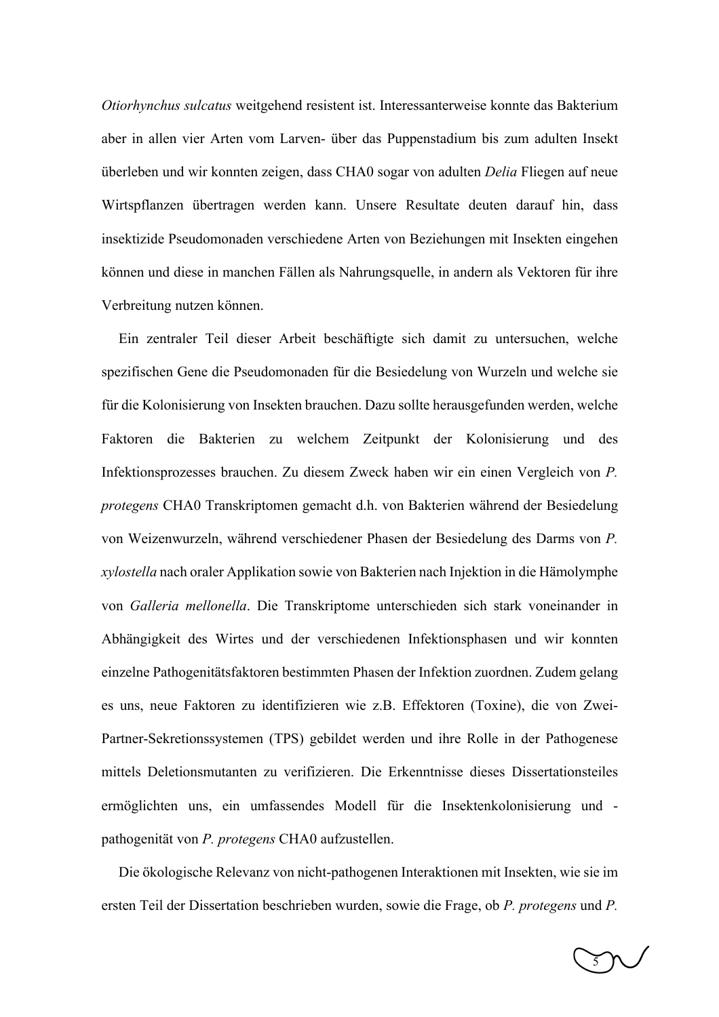*Otiorhynchus sulcatus* weitgehend resistent ist. Interessanterweise konnte das Bakterium aber in allen vier Arten vom Larven- über das Puppenstadium bis zum adulten Insekt überleben und wir konnten zeigen, dass CHA0 sogar von adulten *Delia* Fliegen auf neue Wirtspflanzen übertragen werden kann. Unsere Resultate deuten darauf hin, dass insektizide Pseudomonaden verschiedene Arten von Beziehungen mit Insekten eingehen können und diese in manchen Fällen als Nahrungsquelle, in andern als Vektoren für ihre Verbreitung nutzen können.

Ein zentraler Teil dieser Arbeit beschäftigte sich damit zu untersuchen, welche spezifischen Gene die Pseudomonaden für die Besiedelung von Wurzeln und welche sie für die Kolonisierung von Insekten brauchen. Dazu sollte herausgefunden werden, welche Faktoren die Bakterien zu welchem Zeitpunkt der Kolonisierung und des Infektionsprozesses brauchen. Zu diesem Zweck haben wir ein einen Vergleich von *P. protegens* CHA0 Transkriptomen gemacht d.h. von Bakterien während der Besiedelung von Weizenwurzeln, während verschiedener Phasen der Besiedelung des Darms von *P. xylostella* nach oraler Applikation sowie von Bakterien nach Injektion in die Hämolymphe von *Galleria mellonella*. Die Transkriptome unterschieden sich stark voneinander in Abhängigkeit des Wirtes und der verschiedenen Infektionsphasen und wir konnten einzelne Pathogenitätsfaktoren bestimmten Phasen der Infektion zuordnen. Zudem gelang es uns, neue Faktoren zu identifizieren wie z.B. Effektoren (Toxine), die von Zwei-Partner-Sekretionssystemen (TPS) gebildet werden und ihre Rolle in der Pathogenese mittels Deletionsmutanten zu verifizieren. Die Erkenntnisse dieses Dissertationsteiles ermöglichten uns, ein umfassendes Modell für die Insektenkolonisierung und pathogenität von *P. protegens* CHA0 aufzustellen.

Die ökologische Relevanz von nicht-pathogenen Interaktionen mit Insekten, wie sie im ersten Teil der Dissertation beschrieben wurden, sowie die Frage, ob *P. protegens* und *P.* 

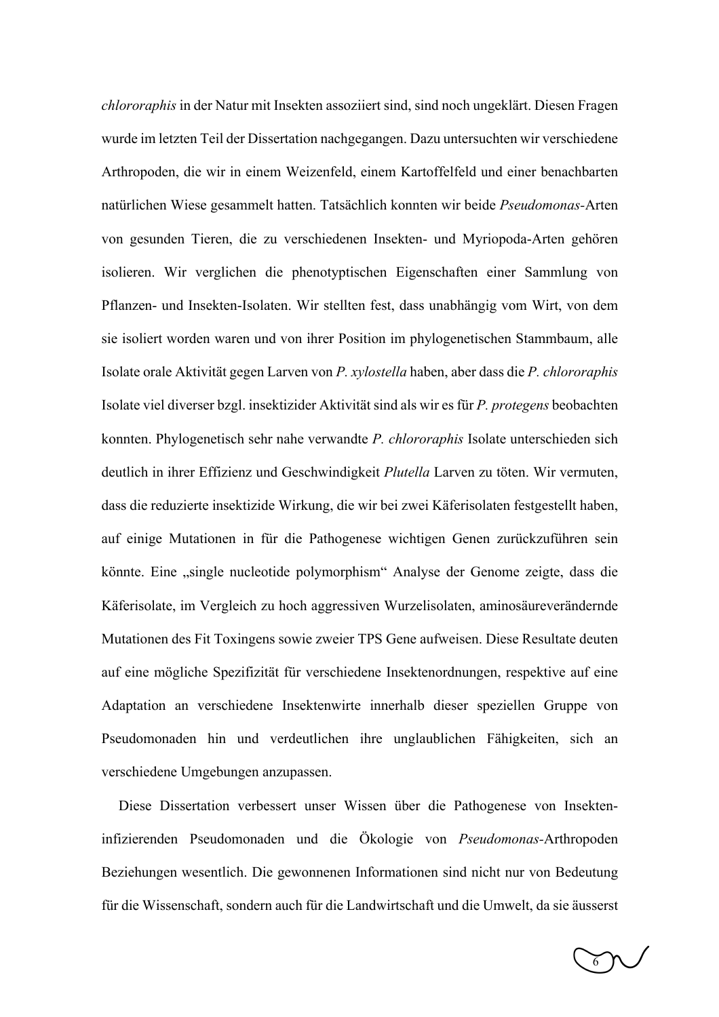*chlororaphis* in der Natur mit Insekten assoziiert sind, sind noch ungeklärt. Diesen Fragen wurde im letzten Teil der Dissertation nachgegangen. Dazu untersuchten wir verschiedene Arthropoden, die wir in einem Weizenfeld, einem Kartoffelfeld und einer benachbarten natürlichen Wiese gesammelt hatten. Tatsächlich konnten wir beide *Pseudomonas-*Arten von gesunden Tieren, die zu verschiedenen Insekten- und Myriopoda-Arten gehören isolieren. Wir verglichen die phenotyptischen Eigenschaften einer Sammlung von Pflanzen- und Insekten-Isolaten. Wir stellten fest, dass unabhängig vom Wirt, von dem sie isoliert worden waren und von ihrer Position im phylogenetischen Stammbaum, alle Isolate orale Aktivität gegen Larven von *P. xylostella* haben, aber dass die *P. chlororaphis* Isolate viel diverser bzgl. insektizider Aktivität sind als wir es für *P. protegens* beobachten konnten. Phylogenetisch sehr nahe verwandte *P. chlororaphis* Isolate unterschieden sich deutlich in ihrer Effizienz und Geschwindigkeit *Plutella* Larven zu töten. Wir vermuten, dass die reduzierte insektizide Wirkung, die wir bei zwei Käferisolaten festgestellt haben, auf einige Mutationen in für die Pathogenese wichtigen Genen zurückzuführen sein könnte. Eine "single nucleotide polymorphism" Analyse der Genome zeigte, dass die Käferisolate, im Vergleich zu hoch aggressiven Wurzelisolaten, aminosäureverändernde Mutationen des Fit Toxingens sowie zweier TPS Gene aufweisen. Diese Resultate deuten auf eine mögliche Spezifizität für verschiedene Insektenordnungen, respektive auf eine Adaptation an verschiedene Insektenwirte innerhalb dieser speziellen Gruppe von Pseudomonaden hin und verdeutlichen ihre unglaublichen Fähigkeiten, sich an verschiedene Umgebungen anzupassen.

Diese Dissertation verbessert unser Wissen über die Pathogenese von Insekteninfizierenden Pseudomonaden und die Ökologie von *Pseudomonas-*Arthropoden Beziehungen wesentlich. Die gewonnenen Informationen sind nicht nur von Bedeutung für die Wissenschaft, sondern auch für die Landwirtschaft und die Umwelt, da sie äusserst